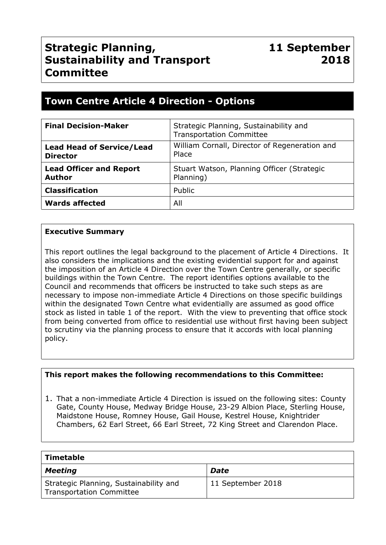# **Strategic Planning, Sustainability and Transport Committee**

# **Town Centre Article 4 Direction - Options**

| <b>Final Decision-Maker</b>                         | Strategic Planning, Sustainability and<br><b>Transportation Committee</b> |
|-----------------------------------------------------|---------------------------------------------------------------------------|
| <b>Lead Head of Service/Lead</b><br><b>Director</b> | William Cornall, Director of Regeneration and<br>Place                    |
| <b>Lead Officer and Report</b><br><b>Author</b>     | Stuart Watson, Planning Officer (Strategic<br>Planning)                   |
| <b>Classification</b>                               | Public                                                                    |
| <b>Wards affected</b>                               | All                                                                       |

# **Executive Summary**

This report outlines the legal background to the placement of Article 4 Directions. It also considers the implications and the existing evidential support for and against the imposition of an Article 4 Direction over the Town Centre generally, or specific buildings within the Town Centre. The report identifies options available to the Council and recommends that officers be instructed to take such steps as are necessary to impose non-immediate Article 4 Directions on those specific buildings within the designated Town Centre what evidentially are assumed as good office stock as listed in table 1 of the report. With the view to preventing that office stock from being converted from office to residential use without first having been subject to scrutiny via the planning process to ensure that it accords with local planning policy.

#### **This report makes the following recommendations to this Committee:**

1. That a non-immediate Article 4 Direction is issued on the following sites: County Gate, County House, Medway Bridge House, 23-29 Albion Place, Sterling House, Maidstone House, Romney House, Gail House, Kestrel House, Knightrider Chambers, 62 Earl Street, 66 Earl Street, 72 King Street and Clarendon Place.

| Timetable                                                                 |                   |
|---------------------------------------------------------------------------|-------------------|
| <b>Meeting</b>                                                            | Date              |
| Strategic Planning, Sustainability and<br><b>Transportation Committee</b> | 11 September 2018 |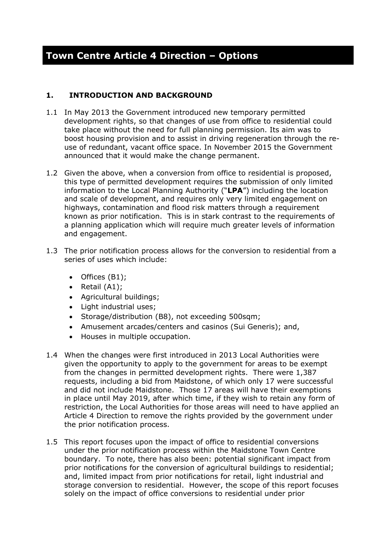# **1. INTRODUCTION AND BACKGROUND**

- 1.1 In May 2013 the Government introduced new temporary permitted development rights, so that changes of use from office to residential could take place without the need for full planning permission. Its aim was to boost housing provision and to assist in driving regeneration through the reuse of redundant, vacant office space. In November 2015 the Government announced that it would make the change permanent.
- 1.2 Given the above, when a conversion from office to residential is proposed, this type of permitted development requires the submission of only limited information to the Local Planning Authority ("**LPA**") including the location and scale of development, and requires only very limited engagement on highways, contamination and flood risk matters through a requirement known as prior notification. This is in stark contrast to the requirements of a planning application which will require much greater levels of information and engagement.
- 1.3 The prior notification process allows for the conversion to residential from a series of uses which include:
	- Offices (B1);
	- Retail  $(A1)$ ;
	- Agricultural buildings;
	- Light industrial uses:
	- Storage/distribution (B8), not exceeding 500sqm;
	- Amusement arcades/centers and casinos (Sui Generis); and,
	- Houses in multiple occupation.
- 1.4 When the changes were first introduced in 2013 Local Authorities were given the opportunity to apply to the government for areas to be exempt from the changes in permitted development rights. There were 1,387 requests, including a bid from Maidstone, of which only 17 were successful and did not include Maidstone. Those 17 areas will have their exemptions in place until May 2019, after which time, if they wish to retain any form of restriction, the Local Authorities for those areas will need to have applied an Article 4 Direction to remove the rights provided by the government under the prior notification process.
- 1.5 This report focuses upon the impact of office to residential conversions under the prior notification process within the Maidstone Town Centre boundary. To note, there has also been: potential significant impact from prior notifications for the conversion of agricultural buildings to residential; and, limited impact from prior notifications for retail, light industrial and storage conversion to residential. However, the scope of this report focuses solely on the impact of office conversions to residential under prior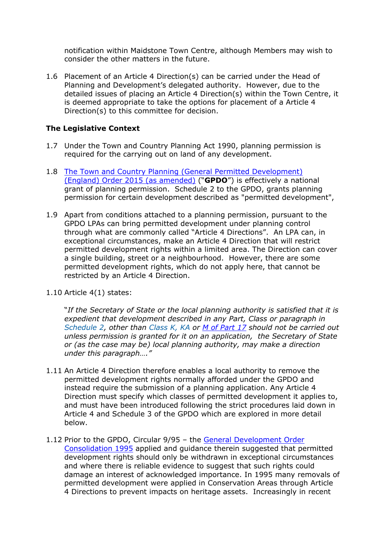notification within Maidstone Town Centre, although Members may wish to consider the other matters in the future.

1.6 Placement of an Article 4 Direction(s) can be carried under the Head of Planning and Development's delegated authority. However, due to the detailed issues of placing an Article 4 Direction(s) within the Town Centre, it is deemed appropriate to take the options for placement of a Article 4 Direction(s) to this committee for decision.

# **The Legislative Context**

- 1.7 Under the Town and Country Planning Act 1990, planning permission is required for the carrying out on land of any development.
- 1.8 The Town and Country Planning (General Permitted [Development\)](http://www.legislation.gov.uk/uksi/2015/596/contents/made) (England) Order 2015 (as [amended\)](http://www.legislation.gov.uk/uksi/2015/596/contents/made) ("**GPDO**") is effectively a national grant of planning permission. Schedule 2 to the GPDO, grants planning permission for certain development described as "permitted development",
- 1.9 Apart from conditions attached to a planning permission, pursuant to the GPDO LPAs can bring permitted development under planning control through what are commonly called "Article 4 Directions". An LPA can, in exceptional circumstances, make an Article 4 Direction that will restrict permitted development rights within a limited area. The Direction can cover a single building, street or a neighbourhood. However, there are some permitted development rights, which do not apply here, that cannot be restricted by an Article 4 Direction.
- 1.10 Article 4(1) states:

"*If the Secretary of State or the local planning authority is satisfied that it is expedient that development described in any Part, Class or paragraph in [Schedule](https://login.westlaw.co.uk/maf/wluk/app/document?src=doc&linktype=ref&context=24&crumb-action=replace&docguid=I846A42E0D82A11E4AE5DA36A3DA01F57) 2, other than [Class](https://login.westlaw.co.uk/maf/wluk/app/document?src=doc&linktype=ref&context=24&crumb-action=replace&docguid=I85503610D82A11E4AE5DA36A3DA01F57) K, KA or M of [Part](https://login.westlaw.co.uk/maf/wluk/app/document?src=doc&linktype=ref&context=24&crumb-action=replace&docguid=I8555DB60D82A11E4AE5DA36A3DA01F57) 17 should not be carried out unless permission is granted for it on an application, the Secretary of State or (as the case may be) local planning authority, may make a direction under this paragraph…."*

- 1.11 An Article 4 Direction therefore enables a local authority to remove the permitted development rights normally afforded under the GPDO and instead require the submission of a planning application. Any Article 4 Direction must specify which classes of permitted development it applies to, and must have been introduced following the strict procedures laid down in Article 4 and Schedule 3 of the GPDO which are explored in more detail below.
- 1.12 Prior to the GPDO, Circular 9/95 the General [Development](http://www.legislation.gov.uk/uksi/1995/418/contents/made) Order [Consolidation](http://www.legislation.gov.uk/uksi/1995/418/contents/made) 1995 applied and guidance therein suggested that permitted development rights should only be withdrawn in exceptional circumstances and where there is reliable evidence to suggest that such rights could damage an interest of acknowledged importance. In 1995 many removals of permitted development were applied in Conservation Areas through Article 4 Directions to prevent impacts on heritage assets. Increasingly in recent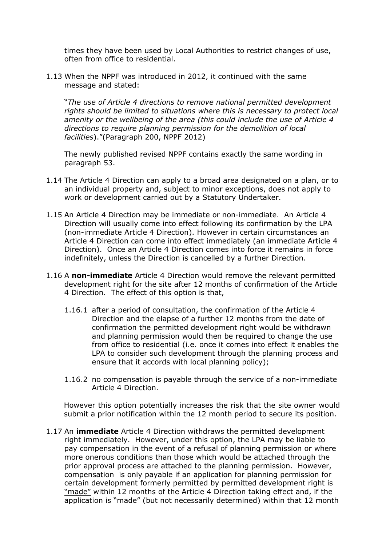times they have been used by Local Authorities to restrict changes of use, often from office to residential.

1.13 When the NPPF was introduced in 2012, it continued with the same message and stated:

"*The use of Article 4 directions to remove national permitted development rights should be limited to situations where this is necessary to protect local amenity or the wellbeing of the area (this could include the use of Article 4 directions to require planning permission for the demolition of local facilities*)."(Paragraph 200, NPPF 2012)

The newly published revised NPPF contains exactly the same wording in paragraph 53.

- 1.14 The Article 4 Direction can apply to a broad area designated on a plan, or to an individual property and, subject to minor exceptions, does not apply to work or development carried out by a Statutory Undertaker.
- 1.15 An Article 4 Direction may be immediate or non-immediate. An Article 4 Direction will usually come into effect following its confirmation by the LPA (non-immediate Article 4 Direction). However in certain circumstances an Article 4 Direction can come into effect immediately (an immediate Article 4 Direction). Once an Article 4 Direction comes into force it remains in force indefinitely, unless the Direction is cancelled by a further Direction.
- 1.16 A **non-immediate** Article 4 Direction would remove the relevant permitted development right for the site after 12 months of confirmation of the Article 4 Direction. The effect of this option is that,
	- 1.16.1 after a period of consultation, the confirmation of the Article 4 Direction and the elapse of a further 12 months from the date of confirmation the permitted development right would be withdrawn and planning permission would then be required to change the use from office to residential (i.e. once it comes into effect it enables the LPA to consider such development through the planning process and ensure that it accords with local planning policy);
	- 1.16.2 no compensation is payable through the service of a non-immediate Article 4 Direction.

However this option potentially increases the risk that the site owner would submit a prior notification within the 12 month period to secure its position.

1.17 An **immediate** Article 4 Direction withdraws the permitted development right immediately. However, under this option, the LPA may be liable to pay compensation in the event of a refusal of planning permission or where more onerous conditions than those which would be attached through the prior approval process are attached to the planning permission. However, compensation is only payable if an application for planning permission for certain development formerly permitted by permitted development right is "made" within 12 months of the Article 4 Direction taking effect and, if the application is "made" (but not necessarily determined) within that 12 month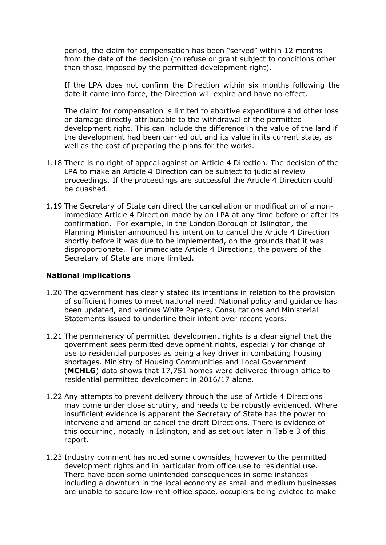period, the claim for compensation has been "served" within 12 months from the date of the decision (to refuse or grant subject to conditions other than those imposed by the permitted development right).

If the LPA does not confirm the Direction within six months following the date it came into force, the Direction will expire and have no effect.

The claim for compensation is limited to abortive expenditure and other loss or damage directly attributable to the withdrawal of the permitted development right. This can include the difference in the value of the land if the development had been carried out and its value in its current state, as well as the cost of preparing the plans for the works.

- 1.18 There is no right of appeal against an Article 4 Direction. The decision of the LPA to make an Article 4 Direction can be subject to judicial review proceedings. If the proceedings are successful the Article 4 Direction could be quashed.
- 1.19 The Secretary of State can direct the cancellation or modification of a nonimmediate Article 4 Direction made by an LPA at any time before or after its confirmation. For example, in the London Borough of Islington, the Planning Minister announced his intention to cancel the Article 4 Direction shortly before it was due to be implemented, on the grounds that it was disproportionate. For immediate Article 4 Directions, the powers of the Secretary of State are more limited.

#### **National implications**

- 1.20 The government has clearly stated its intentions in relation to the provision of sufficient homes to meet national need. National policy and guidance has been updated, and various White Papers, Consultations and Ministerial Statements issued to underline their intent over recent years.
- 1.21 The permanency of permitted development rights is a clear signal that the government sees permitted development rights, especially for change of use to residential purposes as being a key driver in combatting housing shortages. Ministry of Housing Communities and Local Government (**MCHLG**) data shows that 17,751 homes were delivered through office to residential permitted development in 2016/17 alone.
- 1.22 Any attempts to prevent delivery through the use of Article 4 Directions may come under close scrutiny, and needs to be robustly evidenced. Where insufficient evidence is apparent the Secretary of State has the power to intervene and amend or cancel the draft Directions. There is evidence of this occurring, notably in Islington, and as set out later in Table 3 of this report.
- 1.23 Industry comment has noted some downsides, however to the permitted development rights and in particular from office use to residential use. There have been some unintended consequences in some instances including a downturn in the local economy as small and medium businesses are unable to secure low-rent office space, occupiers being evicted to make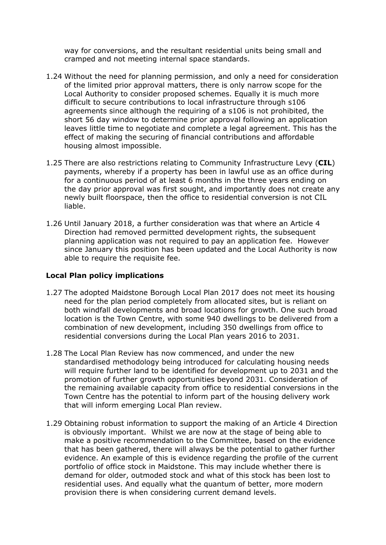way for conversions, and the resultant residential units being small and cramped and not meeting internal space standards.

- 1.24 Without the need for planning permission, and only a need for consideration of the limited prior approval matters, there is only narrow scope for the Local Authority to consider proposed schemes. Equally it is much more difficult to secure contributions to local infrastructure through s106 agreements since although the requiring of a s106 is not prohibited, the short 56 day window to determine prior approval following an application leaves little time to negotiate and complete a legal agreement. This has the effect of making the securing of financial contributions and affordable housing almost impossible.
- 1.25 There are also restrictions relating to Community Infrastructure Levy (**CIL**) payments, whereby if a property has been in lawful use as an office during for a continuous period of at least 6 months in the three years ending on the day prior approval was first sought, and importantly does not create any newly built floorspace, then the office to residential conversion is not CIL liable.
- 1.26 Until January 2018, a further consideration was that where an Article 4 Direction had removed permitted development rights, the subsequent planning application was not required to pay an application fee. However since January this position has been updated and the Local Authority is now able to require the requisite fee.

#### **Local Plan policy implications**

- 1.27 The adopted Maidstone Borough Local Plan 2017 does not meet its housing need for the plan period completely from allocated sites, but is reliant on both windfall developments and broad locations for growth. One such broad location is the Town Centre, with some 940 dwellings to be delivered from a combination of new development, including 350 dwellings from office to residential conversions during the Local Plan years 2016 to 2031.
- 1.28 The Local Plan Review has now commenced, and under the new standardised methodology being introduced for calculating housing needs will require further land to be identified for development up to 2031 and the promotion of further growth opportunities beyond 2031. Consideration of the remaining available capacity from office to residential conversions in the Town Centre has the potential to inform part of the housing delivery work that will inform emerging Local Plan review.
- 1.29 Obtaining robust information to support the making of an Article 4 Direction is obviously important. Whilst we are now at the stage of being able to make a positive recommendation to the Committee, based on the evidence that has been gathered, there will always be the potential to gather further evidence. An example of this is evidence regarding the profile of the current portfolio of office stock in Maidstone. This may include whether there is demand for older, outmoded stock and what of this stock has been lost to residential uses. And equally what the quantum of better, more modern provision there is when considering current demand levels.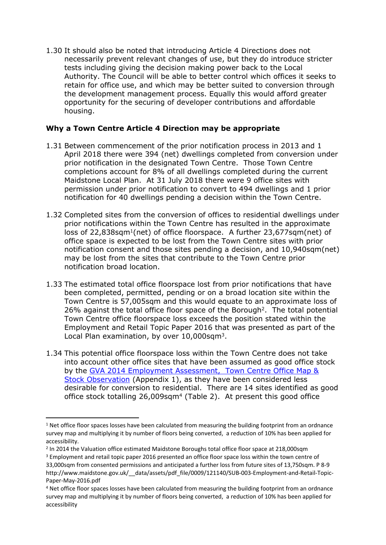1.30 It should also be noted that introducing Article 4 Directions does not necessarily prevent relevant changes of use, but they do introduce stricter tests including giving the decision making power back to the Local Authority. The Council will be able to better control which offices it seeks to retain for office use, and which may be better suited to conversion through the development management process. Equally this would afford greater opportunity for the securing of developer contributions and affordable housing.

# **Why a Town Centre Article 4 Direction may be appropriate**

- 1.31 Between commencement of the prior notification process in 2013 and 1 April 2018 there were 394 (net) dwellings completed from conversion under prior notification in the designated Town Centre. Those Town Centre completions account for 8% of all dwellings completed during the current Maidstone Local Plan. At 31 July 2018 there were 9 office sites with permission under prior notification to convert to 494 dwellings and 1 prior notification for 40 dwellings pending a decision within the Town Centre.
- 1.32 Completed sites from the conversion of offices to residential dwellings under prior notifications within the Town Centre has resulted in the approximate loss of 22,838sqm<sup>1</sup>(net) of office floorspace. A further 23,677sqm(net) of office space is expected to be lost from the Town Centre sites with prior notification consent and those sites pending a decision, and 10,940sqm(net) may be lost from the sites that contribute to the Town Centre prior notification broad location.
- 1.33 The estimated total office floorspace lost from prior notifications that have been completed, permitted, pending or on a broad location site within the Town Centre is 57,005sqm and this would equate to an approximate loss of 26% against the total office floor space of the Borough<sup>2</sup>. The total potential Town Centre office floorspace loss exceeds the position stated within the Employment and Retail Topic Paper 2016 that was presented as part of the Local Plan examination, by over 10,000sqm<sup>3</sup>.
- 1.34 This potential office floorspace loss within the Town Centre does not take into account other office sites that have been assumed as good office stock by the GVA 2014 Employment [Assessment, Town](http://www.maidstone.gov.uk/__data/assets/pdf_file/0018/107028/Appendix-V-Town-Centre-Office-Stock-2014.pdf) Centre Office Map & Stock [Observation](http://www.maidstone.gov.uk/__data/assets/pdf_file/0018/107028/Appendix-V-Town-Centre-Office-Stock-2014.pdf) (Appendix 1), as they have been considered less desirable for conversion to residential. There are 14 sites identified as good office stock totalling 26,009sqm<sup>4</sup> (Table 2). At present this good office

 $1$  Net office floor spaces losses have been calculated from measuring the building footprint from an ordnance survey map and multiplying it by number of floors being converted, a reduction of 10% has been applied for accessibility.

<sup>&</sup>lt;sup>2</sup> In 2014 the Valuation office estimated Maidstone Boroughs total office floor space at 218,000sqm

<sup>&</sup>lt;sup>3</sup> Employment and retail topic paper 2016 presented an office floor space loss within the town centre of 33,000sqm from consented permissions and anticipated a further loss from future sites of 13,750sqm. P 8-9 http://www.maidstone.gov.uk/\_\_data/assets/pdf\_file/0009/121140/SUB-003-Employment-and-Retail-Topic-Paper-May-2016.pdf

<sup>4</sup> Net office floor spaces losses have been calculated from measuring the building footprint from an ordnance survey map and multiplying it by number of floors being converted, a reduction of 10% has been applied for accessibility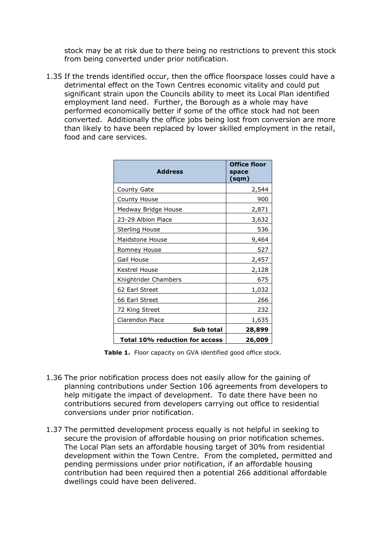stock may be at risk due to there being no restrictions to prevent this stock from being converted under prior notification.

1.35 If the trends identified occur, then the office floorspace losses could have a detrimental effect on the Town Centres economic vitality and could put significant strain upon the Councils ability to meet its Local Plan identified employment land need. Further, the Borough as a whole may have performed economically better if some of the office stock had not been converted. Additionally the office jobs being lost from conversion are more than likely to have been replaced by lower skilled employment in the retail, food and care services.

| <b>Address</b>                 | Office floor<br>space<br>(sqm) |
|--------------------------------|--------------------------------|
| County Gate                    | 2,544                          |
| County House                   | 900                            |
| Medway Bridge House            | 2,871                          |
| 23-29 Albion Place             | 3,632                          |
| Sterling House                 | 536                            |
| Maidstone House                | 9,464                          |
| Romney House                   | 527                            |
| Gail House                     | 2,457                          |
| Kestrel House                  | 2,128                          |
| Knightrider Chambers           | 675                            |
| 62 Earl Street                 | 1,032                          |
| 66 Earl Street                 | 266                            |
| 72 King Street                 | 232                            |
| Clarendon Place                | 1,635                          |
| Sub total                      | 28,899                         |
| Total 10% reduction for access | 26,009                         |

**Table 1.** Floor capacity on GVA identified good office stock.

- 1.36 The prior notification process does not easily allow for the gaining of planning contributions under Section 106 agreements from developers to help mitigate the impact of development. To date there have been no contributions secured from developers carrying out office to residential conversions under prior notification.
- 1.37 The permitted development process equally is not helpful in seeking to secure the provision of affordable housing on prior notification schemes. The Local Plan sets an affordable housing target of 30% from residential development within the Town Centre. From the completed, permitted and pending permissions under prior notification, if an affordable housing contribution had been required then a potential 266 additional affordable dwellings could have been delivered.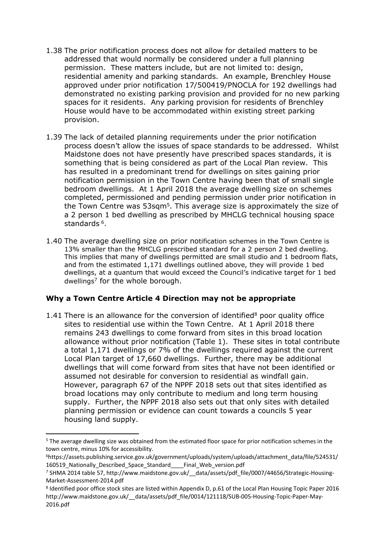- 1.38 The prior notification process does not allow for detailed matters to be addressed that would normally be considered under a full planning permission. These matters include, but are not limited to: design, residential amenity and parking standards. An example, Brenchley House approved under prior notification 17/500419/PNOCLA for 192 dwellings had demonstrated no existing parking provision and provided for no new parking spaces for it residents. Any parking provision for residents of Brenchley House would have to be accommodated within existing street parking provision.
- 1.39 The lack of detailed planning requirements under the prior notification process doesn't allow the issues of space standards to be addressed. Whilst Maidstone does not have presently have prescribed spaces standards, it is something that is being considered as part of the Local Plan review. This has resulted in a predominant trend for dwellings on sites gaining prior notification permission in the Town Centre having been that of small single bedroom dwellings. At 1 April 2018 the average dwelling size on schemes completed, permissioned and pending permission under prior notification in the Town Centre was 53sqm<sup>5</sup>. This average size is approximately the size of a 2 person 1 bed dwelling as prescribed by MHCLG technical housing space standards <sup>6</sup>.
- 1.40 The average dwelling size on prior notification schemes in the Town Centre is 13% smaller than the MHCLG prescribed standard for a 2 person 2 bed dwelling. This implies that many of dwellings permitted are small studio and 1 bedroom flats, and from the estimated 1,171 dwellings outlined above, they will provide 1 bed dwellings, at a quantum that would exceed the Council's indicative target for 1 bed dwellings<sup>7</sup> for the whole borough.

#### **Why a Town Centre Article 4 Direction may not be appropriate**

1.41 There is an allowance for the conversion of identified<sup>8</sup> poor quality office sites to residential use within the Town Centre. At 1 April 2018 there remains 243 dwellings to come forward from sites in this broad location allowance without prior notification (Table 1). These sites in total contribute a total 1,171 dwellings or 7% of the dwellings required against the current Local Plan target of 17,660 dwellings. Further, there may be additional dwellings that will come forward from sites that have not been identified or assumed not desirable for conversion to residential as windfall gain. However, paragraph 67 of the NPPF 2018 sets out that sites identified as broad locations may only contribute to medium and long term housing supply. Further, the NPPF 2018 also sets out that only sites with detailed planning permission or evidence can count towards a councils 5 year housing land supply.

<sup>5</sup> The average dwelling size was obtained from the estimated floor space for prior notification schemes in the town centre, minus 10% for accessibility.

<sup>6</sup>https://assets.publishing.service.gov.uk/government/uploads/system/uploads/attachment\_data/file/524531/ 160519\_Nationally\_Described\_Space\_Standard\_\_\_\_Final\_Web\_version.pdf

<sup>7</sup> SHMA 2014 table 57, http://www.maidstone.gov.uk/\_\_data/assets/pdf\_file/0007/44656/Strategic-Housing-Market-Assessment-2014.pdf

<sup>8</sup> Identified poor office stock sites are listed within Appendix D, p.61 of the Local Plan Housing Topic Paper 2016 http://www.maidstone.gov.uk/\_\_data/assets/pdf\_file/0014/121118/SUB-005-Housing-Topic-Paper-May-2016.pdf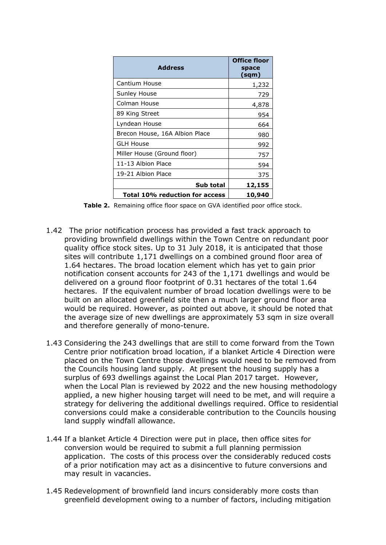| <b>Address</b>                 | <b>Office floor</b><br>space<br>(sqm) |
|--------------------------------|---------------------------------------|
| Cantium House                  | 1,232                                 |
| Sunley House                   | 729                                   |
| Colman House                   | 4,878                                 |
| 89 King Street                 | 954                                   |
| Lyndean House                  | 664                                   |
| Brecon House, 16A Albion Place | 980                                   |
| <b>GLH House</b>               | 992                                   |
| Miller House (Ground floor)    | 757                                   |
| 11-13 Albion Place             | 594                                   |
| 19-21 Albion Place             | 375                                   |
| Sub total                      | 12,155                                |
| Total 10% reduction for access | 10,940                                |

**Table 2.** Remaining office floor space on GVA identified poor office stock.

- 1.42 The prior notification process has provided a fast track approach to providing brownfield dwellings within the Town Centre on redundant poor quality office stock sites. Up to 31 July 2018, it is anticipated that those sites will contribute 1,171 dwellings on a combined ground floor area of 1.64 hectares. The broad location element which has yet to gain prior notification consent accounts for 243 of the 1,171 dwellings and would be delivered on a ground floor footprint of 0.31 hectares of the total 1.64 hectares. If the equivalent number of broad location dwellings were to be built on an allocated greenfield site then a much larger ground floor area would be required. However, as pointed out above, it should be noted that the average size of new dwellings are approximately 53 sqm in size overall and therefore generally of mono-tenure.
- 1.43 Considering the 243 dwellings that are still to come forward from the Town Centre prior notification broad location, if a blanket Article 4 Direction were placed on the Town Centre those dwellings would need to be removed from the Councils housing land supply. At present the housing supply has a surplus of 693 dwellings against the Local Plan 2017 target. However, when the Local Plan is reviewed by 2022 and the new housing methodology applied, a new higher housing target will need to be met, and will require a strategy for delivering the additional dwellings required. Office to residential conversions could make a considerable contribution to the Councils housing land supply windfall allowance.
- 1.44 If a blanket Article 4 Direction were put in place, then office sites for conversion would be required to submit a full planning permission application. The costs of this process over the considerably reduced costs of a prior notification may act as a disincentive to future conversions and may result in vacancies.
- 1.45 Redevelopment of brownfield land incurs considerably more costs than greenfield development owing to a number of factors, including mitigation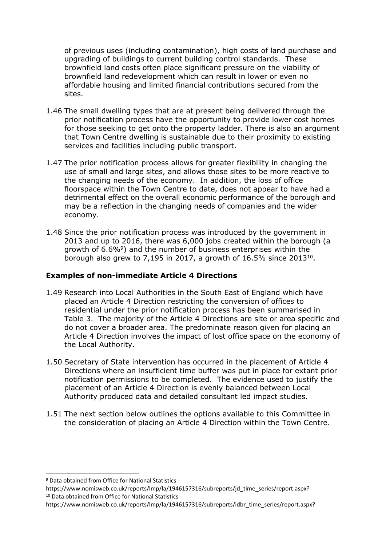of previous uses (including contamination), high costs of land purchase and upgrading of buildings to current building control standards. These brownfield land costs often place significant pressure on the viability of brownfield land redevelopment which can result in lower or even no affordable housing and limited financial contributions secured from the sites.

- 1.46 The small dwelling types that are at present being delivered through the prior notification process have the opportunity to provide lower cost homes for those seeking to get onto the property ladder. There is also an argument that Town Centre dwelling is sustainable due to their proximity to existing services and facilities including public transport.
- 1.47 The prior notification process allows for greater flexibility in changing the use of small and large sites, and allows those sites to be more reactive to the changing needs of the economy. In addition, the loss of office floorspace within the Town Centre to date, does not appear to have had a detrimental effect on the overall economic performance of the borough and may be a reflection in the changing needs of companies and the wider economy.
- 1.48 Since the prior notification process was introduced by the government in 2013 and up to 2016, there was 6,000 jobs created within the borough (a growth of 6.6%<sup>9</sup>) and the number of business enterprises within the borough also grew to 7,195 in 2017, a growth of  $16.5\%$  since 2013<sup>10</sup>.

#### **Examples of non-immediate Article 4 Directions**

- 1.49 Research into Local Authorities in the South East of England which have placed an Article 4 Direction restricting the conversion of offices to residential under the prior notification process has been summarised in Table 3. The majority of the Article 4 Directions are site or area specific and do not cover a broader area. The predominate reason given for placing an Article 4 Direction involves the impact of lost office space on the economy of the Local Authority.
- 1.50 Secretary of State intervention has occurred in the placement of Article 4 Directions where an insufficient time buffer was put in place for extant prior notification permissions to be completed. The evidence used to justify the placement of an Article 4 Direction is evenly balanced between Local Authority produced data and detailed consultant led impact studies.
- 1.51 The next section below outlines the options available to this Committee in the consideration of placing an Article 4 Direction within the Town Centre.

https://www.nomisweb.co.uk/reports/lmp/la/1946157316/subreports/idbr\_time\_series/report.aspx?

<sup>9</sup> Data obtained from Office for National Statistics

https://www.nomisweb.co.uk/reports/lmp/la/1946157316/subreports/jd\_time\_series/report.aspx? <sup>10</sup> Data obtained from Office for National Statistics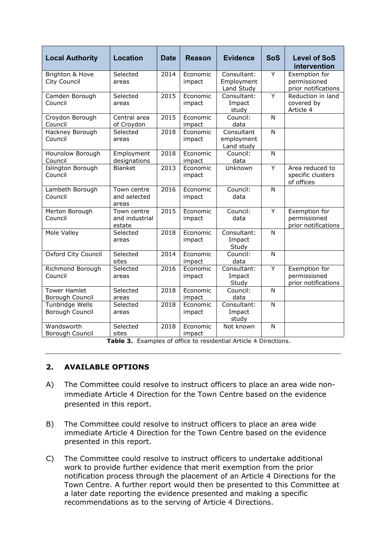| <b>Local Authority</b>                 | <b>Location</b>                         | <b>Date</b> | <b>Reason</b>             | <b>Evidence</b>                         | <b>SoS</b>     | <b>Level of SoS</b><br>intervention                  |
|----------------------------------------|-----------------------------------------|-------------|---------------------------|-----------------------------------------|----------------|------------------------------------------------------|
| Brighton & Hove<br>City Council        | Selected<br>areas                       | 2014        | Economic<br>impact        | Consultant:<br>Employment<br>Land Study | Y              | Exemption for<br>permissioned<br>prior notifications |
| Camden Borough<br>Council              | Selected<br>areas                       | 2015        | Economic<br>impact        | Consultant:<br>Impact<br>study          | $\overline{Y}$ | Reduction in land<br>covered by<br>Article 4         |
| Croydon Borough<br>Council             | Central area<br>of Croydon              | 2015        | Economic<br>impact        | Council:<br>data                        | N              |                                                      |
| Hackney Borough<br>Council             | Selected<br>areas                       | 2018        | Economic<br>impact        | Consultant<br>employment<br>Land study  | N              |                                                      |
| Hounslow Borough<br>Council            | Employment<br>designations              | 2018        | Economic<br>impact        | Council:<br>data                        | N              |                                                      |
| <b>Islington Borough</b><br>Council    | <b>Blanket</b>                          | 2013        | Economic<br>impact        | Unknown                                 | $\overline{Y}$ | Area reduced to<br>specific clusters<br>of offices   |
| Lambeth Borough<br>Council             | Town centre<br>and selected<br>areas    | 2016        | Economic<br>impact        | Council:<br>data                        | N              |                                                      |
| Merton Borough<br>Council              | Town centre<br>and industrial<br>estate | 2015        | Economic<br>impact        | Council:<br>data                        | Y              | Exemption for<br>permissioned<br>prior notifications |
| Mole Valley                            | Selected<br>areas                       | 2018        | <b>Fconomic</b><br>impact | Consultant:<br>Impact<br>Study          | N              |                                                      |
| Oxford City Council                    | Selected<br>sites                       | 2014        | Economic<br>impact        | Council:<br>data                        | N              |                                                      |
| Richmond Borough<br>Council            | Selected<br>areas                       | 2016        | Economic<br>impact        | Consultant:<br>Impact<br>Study          | Y              | Exemption for<br>permissioned<br>prior notifications |
| <b>Tower Hamlet</b><br>Borough Council | Selected<br>areas                       | 2018        | Economic<br>impact        | Council:<br>data                        | N              |                                                      |
| Tunbridge Wells<br>Borough Council     | Selected<br>areas                       | 2018        | Economic<br>impact        | Consultant:<br>Impact<br>study          | N              |                                                      |
| Wandsworth<br>Borough Council          | Selected<br>sites                       | 2018        | Economic<br>impact        | Not known                               | N              |                                                      |

**Table 3.** Examples of office to residential Article 4 Directions.

# **2. AVAILABLE OPTIONS**

- A) The Committee could resolve to instruct officers to place an area wide nonimmediate Article 4 Direction for the Town Centre based on the evidence presented in this report.
- B) The Committee could resolve to instruct officers to place an area wide immediate Article 4 Direction for the Town Centre based on the evidence presented in this report.
- C) The Committee could resolve to instruct officers to undertake additional work to provide further evidence that merit exemption from the prior notification process through the placement of an Article 4 Directions for the Town Centre. A further report would then be presented to this Committee at a later date reporting the evidence presented and making a specific recommendations as to the serving of Article 4 Directions.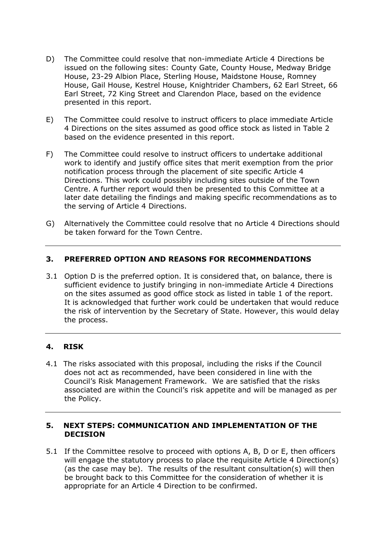- D) The Committee could resolve that non-immediate Article 4 Directions be issued on the following sites: County Gate, County House, Medway Bridge House, 23-29 Albion Place, Sterling House, Maidstone House, Romney House, Gail House, Kestrel House, Knightrider Chambers, 62 Earl Street, 66 Earl Street, 72 King Street and Clarendon Place, based on the evidence presented in this report.
- E) The Committee could resolve to instruct officers to place immediate Article 4 Directions on the sites assumed as good office stock as listed in Table 2 based on the evidence presented in this report.
- F) The Committee could resolve to instruct officers to undertake additional work to identify and justify office sites that merit exemption from the prior notification process through the placement of site specific Article 4 Directions. This work could possibly including sites outside of the Town Centre. A further report would then be presented to this Committee at a later date detailing the findings and making specific recommendations as to the serving of Article 4 Directions.
- G) Alternatively the Committee could resolve that no Article 4 Directions should be taken forward for the Town Centre.

# **3. PREFERRED OPTION AND REASONS FOR RECOMMENDATIONS**

3.1 Option D is the preferred option. It is considered that, on balance, there is sufficient evidence to justify bringing in non-immediate Article 4 Directions on the sites assumed as good office stock as listed in table 1 of the report. It is acknowledged that further work could be undertaken that would reduce the risk of intervention by the Secretary of State. However, this would delay the process.

# **4. RISK**

4.1 The risks associated with this proposal, including the risks if the Council does not act as recommended, have been considered in line with the Council's Risk Management Framework. We are satisfied that the risks associated are within the Council's risk appetite and will be managed as per the Policy.

#### **5. NEXT STEPS: COMMUNICATION AND IMPLEMENTATION OF THE DECISION**

5.1 If the Committee resolve to proceed with options A, B, D or E, then officers will engage the statutory process to place the requisite Article 4 Direction(s) (as the case may be). The results of the resultant consultation(s) will then be brought back to this Committee for the consideration of whether it is appropriate for an Article 4 Direction to be confirmed.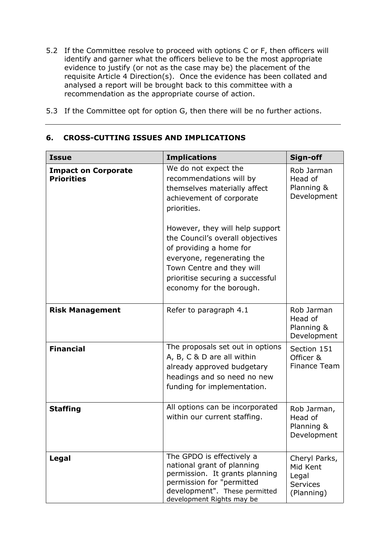- 5.2 If the Committee resolve to proceed with options C or F, then officers will identify and garner what the officers believe to be the most appropriate evidence to justify (or not as the case may be) the placement of the requisite Article 4 Direction(s). Once the evidence has been collated and analysed a report will be brought back to this committee with a recommendation as the appropriate course of action.
- 5.3 If the Committee opt for option G, then there will be no further actions.

| <b>Issue</b>                                    | <b>Implications</b>                                                                                                                                                                                                       | Sign-off                                                            |
|-------------------------------------------------|---------------------------------------------------------------------------------------------------------------------------------------------------------------------------------------------------------------------------|---------------------------------------------------------------------|
| <b>Impact on Corporate</b><br><b>Priorities</b> | We do not expect the<br>recommendations will by<br>themselves materially affect<br>achievement of corporate<br>priorities.                                                                                                | Rob Jarman<br>Head of<br>Planning &<br>Development                  |
|                                                 | However, they will help support<br>the Council's overall objectives<br>of providing a home for<br>everyone, regenerating the<br>Town Centre and they will<br>prioritise securing a successful<br>economy for the borough. |                                                                     |
| <b>Risk Management</b>                          | Refer to paragraph 4.1                                                                                                                                                                                                    | Rob Jarman<br>Head of<br>Planning &<br>Development                  |
| <b>Financial</b>                                | The proposals set out in options<br>A, B, C & D are all within<br>already approved budgetary<br>headings and so need no new<br>funding for implementation.                                                                | Section 151<br>Officer &<br>Finance Team                            |
| <b>Staffing</b>                                 | All options can be incorporated<br>within our current staffing.                                                                                                                                                           | Rob Jarman,<br>Head of<br>Planning &<br>Development                 |
| Legal                                           | The GPDO is effectively a<br>national grant of planning<br>permission. It grants planning<br>permission for "permitted<br>development". These permitted<br>development Rights may be                                      | Cheryl Parks,<br>Mid Kent<br>Legal<br><b>Services</b><br>(Planning) |

# **6. CROSS-CUTTING ISSUES AND IMPLICATIONS**